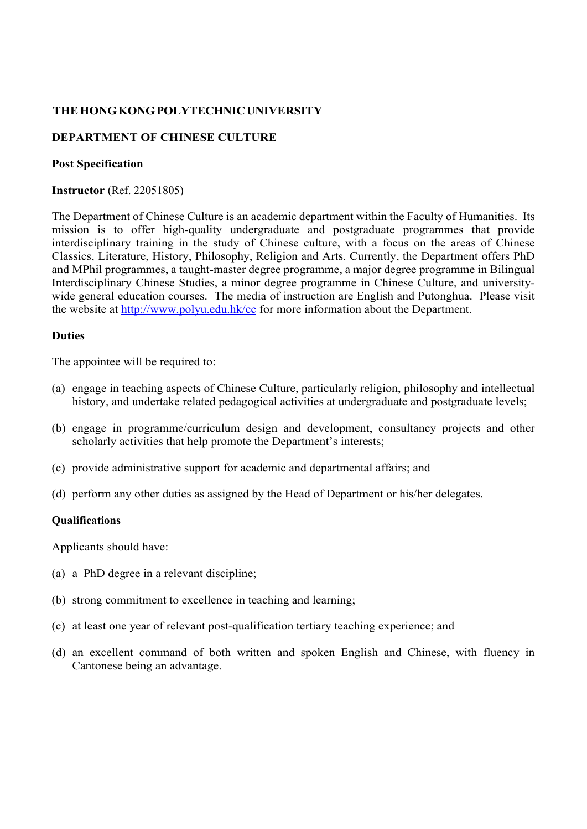## **THE HONG KONG POLYTECHNIC UNIVERSITY**

# **DEPARTMENT OF CHINESE CULTURE**

#### **Post Specification**

**Instructor** (Ref. 22051805)

The Department of Chinese Culture is an academic department within the Faculty of Humanities. Its mission is to offer high-quality undergraduate and postgraduate programmes that provide interdisciplinary training in the study of Chinese culture, with a focus on the areas of Chinese Classics, Literature, History, Philosophy, Religion and Arts. Currently, the Department offers PhD and MPhil programmes, a taught-master degree programme, a major degree programme in Bilingual Interdisciplinary Chinese Studies, a minor degree programme in Chinese Culture, and universitywide general education courses. The media of instruction are English and Putonghua. Please visit the website at http://www.polyu.edu.hk/cc for more information about the Department.

### **Duties**

The appointee will be required to:

- (a) engage in teaching aspects of Chinese Culture, particularly religion, philosophy and intellectual history, and undertake related pedagogical activities at undergraduate and postgraduate levels;
- (b) engage in programme/curriculum design and development, consultancy projects and other scholarly activities that help promote the Department's interests;
- (c) provide administrative support for academic and departmental affairs; and
- (d) perform any other duties as assigned by the Head of Department or his/her delegates.

#### **Qualifications**

Applicants should have:

- (a) a PhD degree in a relevant discipline;
- (b) strong commitment to excellence in teaching and learning;
- (c) at least one year of relevant post-qualification tertiary teaching experience; and
- (d) an excellent command of both written and spoken English and Chinese, with fluency in Cantonese being an advantage.